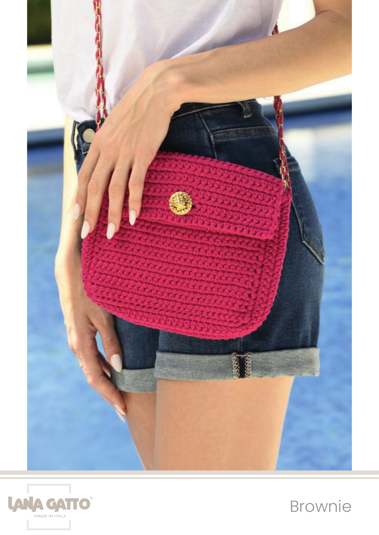